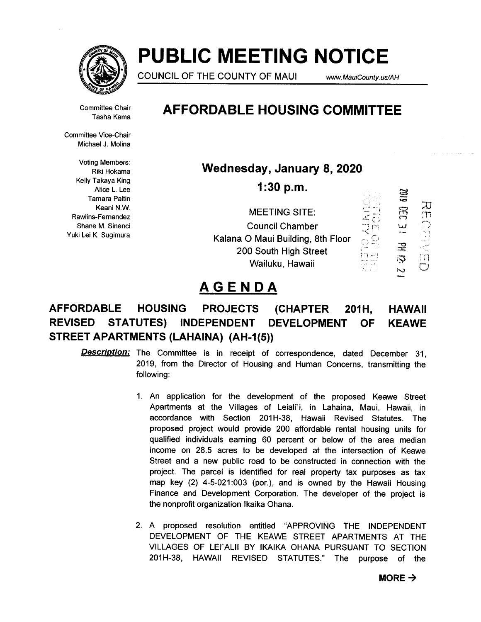

# PUBLIC MEETING NOTICE

COUNCIL OF THE COUNTY OF MAUI www.MauiCounty.us/AH

.<br>이번 - **보** 

Committee Chair Tasha Kama

Committee Vice-Chair Michael J. Molina

Voting Members: Riki Hokama Kelly Takaya King Alice L. Lee Tamara Paltin Keani N.W. Rawlins-Fernandez Shane M. Sinenci Yuki Lei K. Sugimura

## AFFORDABLE HOUSING COMMITTEE

Wednesday, January 8, 2020

1:30 p.m.

|                                   | .       |             |   |
|-----------------------------------|---------|-------------|---|
| <b>MEETING SITE:</b>              |         | 는<br>ہے     |   |
| <b>Council Chamber</b>            |         | سا          | 7 |
| Kalana O Maui Building, 8th Floor | $\pi$ O |             |   |
| 200 South High Street             |         | 곭           |   |
| Wailuku, Hawaii                   |         | 汮<br>$\sim$ |   |

## AGENDA

## AFFORDABLE HOUSING PROJECTS (CHAPTER 201H, HAWAII REVISED STATUTES) INDEPENDENT DEVELOPMENT OF KEAWE STREET APARTMENTS (LAHAINA) (AH-1(5))

- **Description:** The Committee is in receipt of correspondence, dated December 31, 2019, from the Director of Housing and Human Concerns, transmitting the following:
	- 1. An application for the development of the proposed Keawe Street Apartments at the Villages of Leiali'i, in Lahaina, Maui, Hawaii, in accordance with Section 201H-38, Hawaii Revised Statutes. The proposed project would provide 200 affordable rental housing units for qualified individuals earning 60 percent or below of the area median income on 28.5 acres to be developed at the intersection of Keawe Street and a new public road to be constructed in connection with the project. The parcel is identified for real property tax purposes as tax map key (2) 4-5-021:003 (por.), and is owned by the Hawaii Housing Finance and Development Corporation. The developer of the project is the nonprofit organization lkaika Ohana.
	- 2. A proposed resolution entitled "APPROVING THE INDEPENDENT DEVELOPMENT OF THE KEAWE STREET APARTMENTS AT THE VILLAGES OF LEI'ALII BY IKAIKA OHANA PURSUANT TO SECTION 201H-38, HAWAII REVISED STATUTES." The purpose of the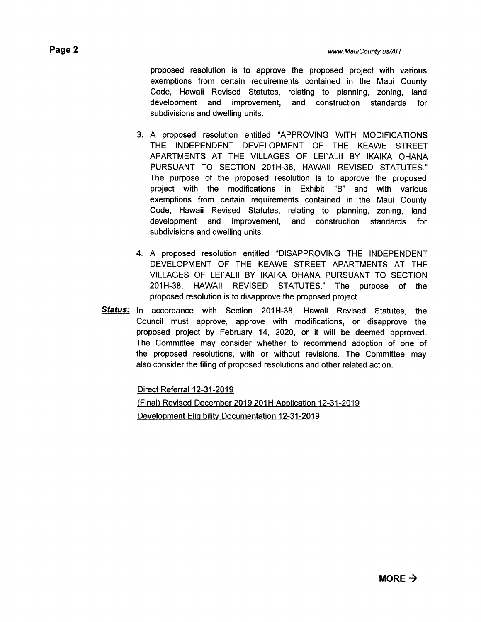proposed resolution is to approve the proposed project with various exemptions from certain requirements contained in the Maui County Code, Hawaii Revised Statutes, relating to planning, zoning, land development and improvement, and construction standards for subdivisions and dwelling units.

- 3. A proposed resolution entitled "APPROVING WITH MODIFICATIONS THE INDEPENDENT DEVELOPMENT OF THE KEAWE STREET APARTMENTS AT THE VILLAGES OF LEI'ALII BY IKAIKA OHANA PURSUANT TO SECTION 201H-38, HAWAII REVISED STATUTES." The purpose of the proposed resolution is to approve the proposed project with the modifications in Exhibit "B" and with various exemptions from certain requirements contained in the Maui County Code, Hawaii Revised Statutes, relating to planning, zoning, land development and improvement, and construction standards for subdivisions and dwelling units.
- 4. A proposed resolution entitled "DISAPPROVING THE INDEPENDENT DEVELOPMENT OF THE KEAWE STREET APARTMENTS AT THE VILLAGES OF LEI'ALII BY IKAIKA OHANA PURSUANT TO SECTION 201H-38, HAWAII REVISED STATUTES." The purpose of the proposed resolution is to disapprove the proposed project.
- Status: In accordance with Section 201H-38, Hawaii Revised Statutes, the Council must approve, approve with modifications, or disapprove the proposed project by February 14, 2020, or it will be deemed approved. The Committee may consider whether to recommend adoption of one of the proposed resolutions, with or without revisions. The Committee may also consider the filing of proposed resolutions and other related action.

Direct Referral 12-31-2019

(Final) Revised December 2019 201H Application 12-31-2019 Development Eligibility Documentation 12-31-2019